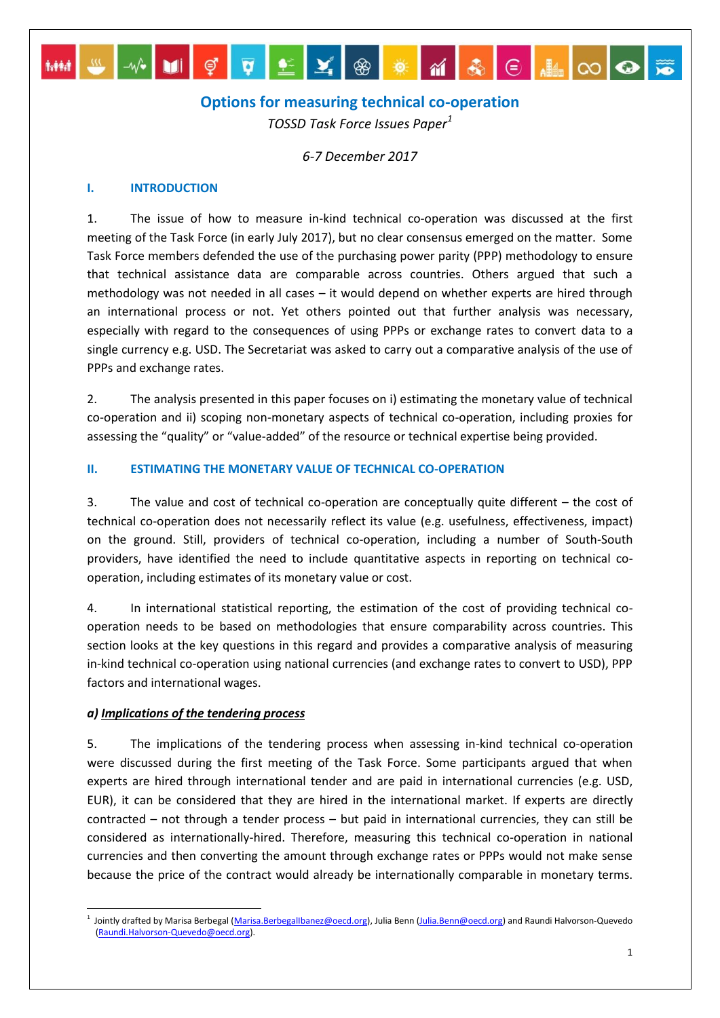# **Options for measuring technical co-operation**

▌**░▎▆▏</mark>▛▏▙▘▏<del>▓</del>▏▒▏▓▏▒▏░▏▒▏▒▏░▏** 

*TOSSD Task Force Issues Paper<sup>1</sup>*

*6-7 December 2017*

#### **I. INTRODUCTION**

**MARTIN SILL** 

1. The issue of how to measure in-kind technical co-operation was discussed at the first meeting of the Task Force (in early July 2017), but no clear consensus emerged on the matter. Some Task Force members defended the use of the purchasing power parity (PPP) methodology to ensure that technical assistance data are comparable across countries. Others argued that such a methodology was not needed in all cases – it would depend on whether experts are hired through an international process or not. Yet others pointed out that further analysis was necessary, especially with regard to the consequences of using PPPs or exchange rates to convert data to a single currency e.g. USD. The Secretariat was asked to carry out a comparative analysis of the use of PPPs and exchange rates.

2. The analysis presented in this paper focuses on i) estimating the monetary value of technical co-operation and ii) scoping non-monetary aspects of technical co-operation, including proxies for assessing the "quality" or "value-added" of the resource or technical expertise being provided.

# **II. ESTIMATING THE MONETARY VALUE OF TECHNICAL CO-OPERATION**

3. The value and cost of technical co-operation are conceptually quite different – the cost of technical co-operation does not necessarily reflect its value (e.g. usefulness, effectiveness, impact) on the ground. Still, providers of technical co-operation, including a number of South-South providers, have identified the need to include quantitative aspects in reporting on technical cooperation, including estimates of its monetary value or cost.

4. In international statistical reporting, the estimation of the cost of providing technical cooperation needs to be based on methodologies that ensure comparability across countries. This section looks at the key questions in this regard and provides a comparative analysis of measuring in-kind technical co-operation using national currencies (and exchange rates to convert to USD), PPP factors and international wages.

#### *a) Implications of the tendering process*

**.** 

5. The implications of the tendering process when assessing in-kind technical co-operation were discussed during the first meeting of the Task Force. Some participants argued that when experts are hired through international tender and are paid in international currencies (e.g. USD, EUR), it can be considered that they are hired in the international market. If experts are directly contracted – not through a tender process – but paid in international currencies, they can still be considered as internationally-hired. Therefore, measuring this technical co-operation in national currencies and then converting the amount through exchange rates or PPPs would not make sense because the price of the contract would already be internationally comparable in monetary terms.

<sup>1</sup> Jointly drafted by Marisa Berbegal [\(Marisa.BerbegalIbanez@oecd.org\)](mailto:Marisa.BerbegalIbanez@oecd.org), Julia Benn [\(Julia.Benn@oecd.org\)](mailto:Julia.Benn@oecd.org) and Raundi Halvorson-Quevedo [\(Raundi.Halvorson-Quevedo@oecd.org\)](mailto:Raundi.Halvorson-Quevedo@oecd.org).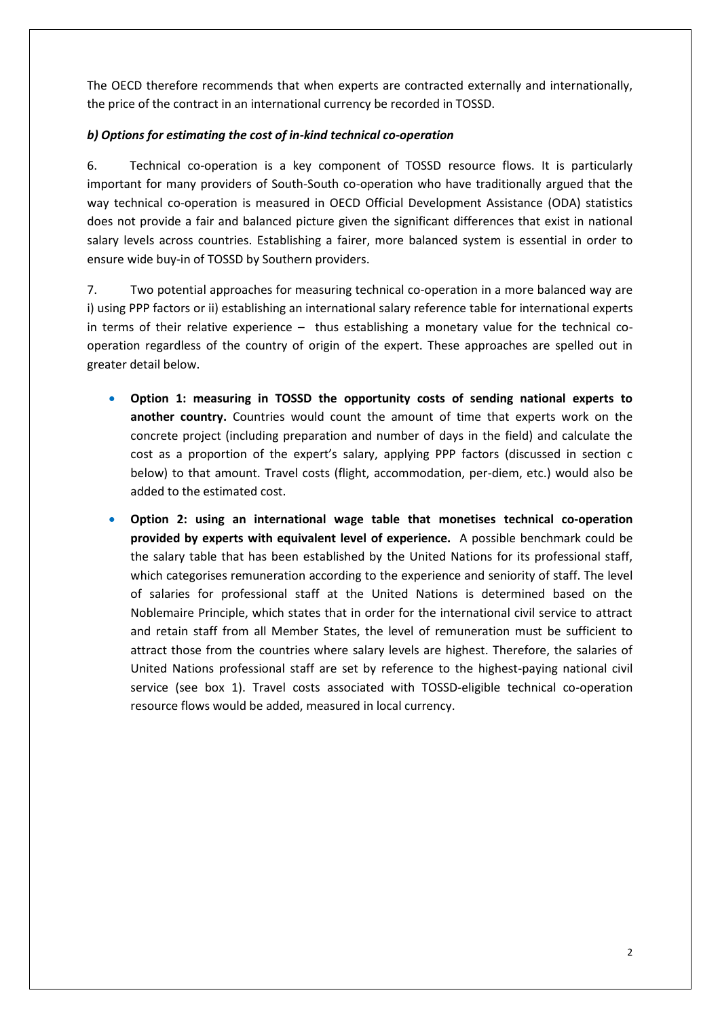The OECD therefore recommends that when experts are contracted externally and internationally, the price of the contract in an international currency be recorded in TOSSD.

# *b) Options for estimating the cost of in-kind technical co-operation*

6. Technical co-operation is a key component of TOSSD resource flows. It is particularly important for many providers of South-South co-operation who have traditionally argued that the way technical co-operation is measured in OECD Official Development Assistance (ODA) statistics does not provide a fair and balanced picture given the significant differences that exist in national salary levels across countries. Establishing a fairer, more balanced system is essential in order to ensure wide buy-in of TOSSD by Southern providers.

7. Two potential approaches for measuring technical co-operation in a more balanced way are i) using PPP factors or ii) establishing an international salary reference table for international experts in terms of their relative experience – thus establishing a monetary value for the technical cooperation regardless of the country of origin of the expert. These approaches are spelled out in greater detail below.

- **Option 1: measuring in TOSSD the opportunity costs of sending national experts to another country.** Countries would count the amount of time that experts work on the concrete project (including preparation and number of days in the field) and calculate the cost as a proportion of the expert's salary, applying PPP factors (discussed in section c below) to that amount. Travel costs (flight, accommodation, per-diem, etc.) would also be added to the estimated cost.
- **Option 2: using an international wage table that monetises technical co-operation provided by experts with equivalent level of experience.** A possible benchmark could be the salary table that has been established by the United Nations for its professional staff, which categorises remuneration according to the experience and seniority of staff. The level of salaries for professional staff at the United Nations is determined based on the Noblemaire Principle, which states that in order for the international civil service to attract and retain staff from all Member States, the level of remuneration must be sufficient to attract those from the countries where salary levels are highest. Therefore, the salaries of United Nations professional staff are set by reference to the highest-paying national civil service (see box 1). Travel costs associated with TOSSD-eligible technical co-operation resource flows would be added, measured in local currency.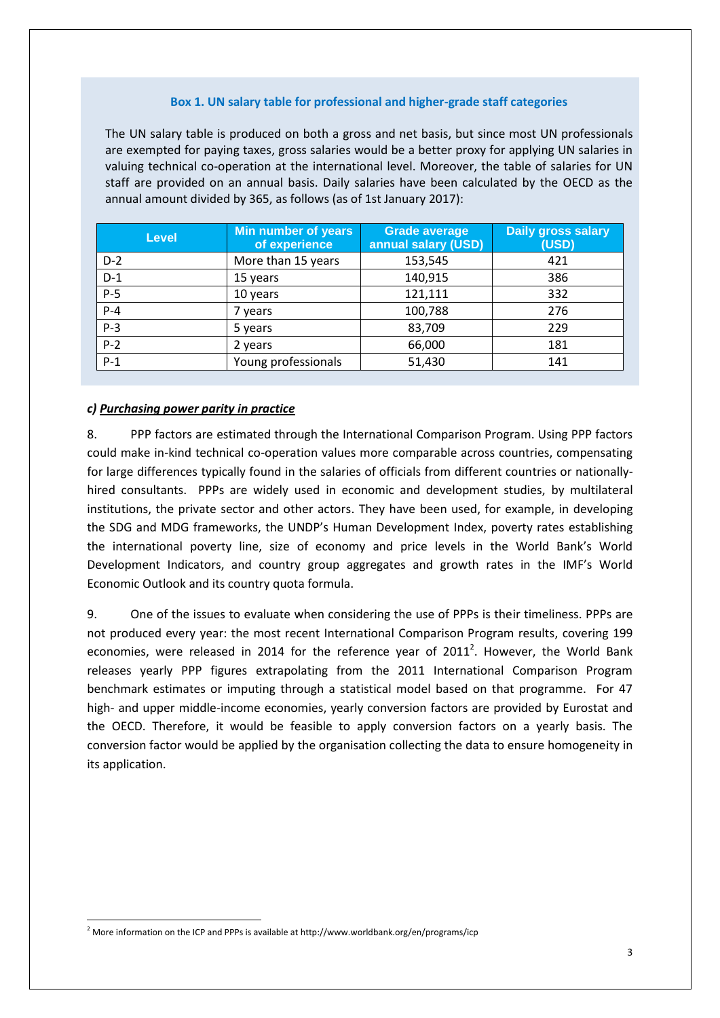#### **Box 1. UN salary table for professional and higher-grade staff categories**

The UN salary table is produced on both a gross and net basis, but since most UN professionals are exempted for paying taxes, gross salaries would be a better proxy for applying UN salaries in valuing technical co-operation at the international level. Moreover, the table of salaries for UN staff are provided on an annual basis. Daily salaries have been calculated by the OECD as the annual amount divided by 365, as follows (as of 1st January 2017):

| <b>Level</b> | Min number of years<br>of experience | <b>Grade average</b><br>annual salary (USD) | <b>Daily gross salary</b><br>(USD) |
|--------------|--------------------------------------|---------------------------------------------|------------------------------------|
| $D-2$        | More than 15 years                   | 153,545                                     | 421                                |
| $D-1$        | 15 years                             | 140,915                                     | 386                                |
| $P-5$        | 10 years                             | 121,111                                     | 332                                |
| $P-4$        | 7 years                              | 100,788                                     | 276                                |
| $P-3$        | 5 years                              | 83,709                                      | 229                                |
| $P-2$        | 2 years                              | 66,000                                      | 181                                |
| $P-1$        | Young professionals                  | 51,430                                      | 141                                |

#### *c) Purchasing power parity in practice*

8. PPP factors are estimated through the International Comparison Program. Using PPP factors could make in-kind technical co-operation values more comparable across countries, compensating for large differences typically found in the salaries of officials from different countries or nationallyhired consultants. PPPs are widely used in economic and development studies, by multilateral institutions, the private sector and other actors. They have been used, for example, in developing the SDG and MDG frameworks, the UNDP's Human Development Index, poverty rates establishing the international poverty line, size of economy and price levels in the World Bank's World Development Indicators, and country group aggregates and growth rates in the IMF's World Economic Outlook and its country quota formula.

9. One of the issues to evaluate when considering the use of PPPs is their timeliness. PPPs are not produced every year: the most recent International Comparison Program results, covering 199 economies, were released in 2014 for the reference year of 2011<sup>2</sup>. However, the World Bank releases yearly PPP figures extrapolating from the 2011 International Comparison Program benchmark estimates or imputing through a statistical model based on that programme. For 47 high- and upper middle-income economies, yearly conversion factors are provided by Eurostat and the OECD. Therefore, it would be feasible to apply conversion factors on a yearly basis. The conversion factor would be applied by the organisation collecting the data to ensure homogeneity in its application.

**<sup>.</sup>** <sup>2</sup> More information on the ICP and PPPs is available at http://www.worldbank.org/en/programs/icp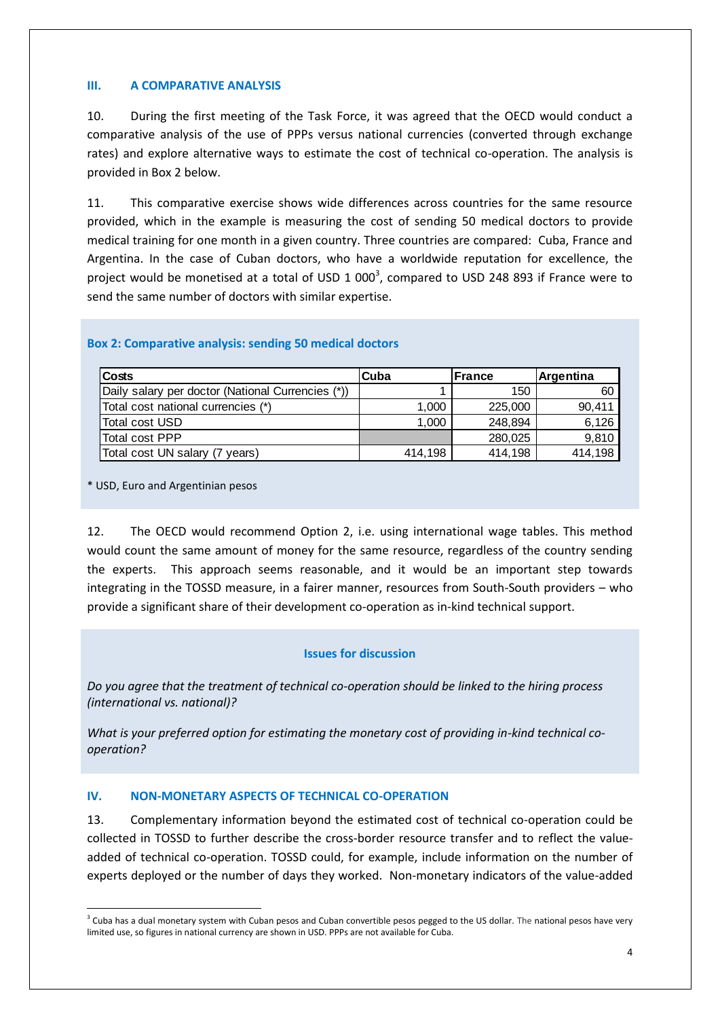# **III. A COMPARATIVE ANALYSIS**

10. During the first meeting of the Task Force, it was agreed that the OECD would conduct a comparative analysis of the use of PPPs versus national currencies (converted through exchange rates) and explore alternative ways to estimate the cost of technical co-operation. The analysis is provided in Box 2 below.

11. This comparative exercise shows wide differences across countries for the same resource provided, which in the example is measuring the cost of sending 50 medical doctors to provide medical training for one month in a given country. Three countries are compared: Cuba, France and Argentina. In the case of Cuban doctors, who have a worldwide reputation for excellence, the project would be monetised at a total of USD 1 000<sup>3</sup>, compared to USD 248 893 if France were to send the same number of doctors with similar expertise.

| <b>Costs</b>                                      | <b>Cuba</b> | France  | <b>Argentina</b> |
|---------------------------------------------------|-------------|---------|------------------|
| Daily salary per doctor (National Currencies (*)) |             | 150     | 60               |
| Total cost national currencies (*)                | 1,000       | 225,000 | 90.411           |
| <b>ITotal cost USD</b>                            | 1.000       | 248.894 | 6,126            |
| <b>Total cost PPP</b>                             |             | 280.025 | 9,810            |
| Total cost UN salary (7 years)                    | 414.198     | 414.198 | 414,198          |

#### **Box 2: Comparative analysis: sending 50 medical doctors**

\* USD, Euro and Argentinian pesos

12. The OECD would recommend Option 2, i.e. using international wage tables. This method would count the same amount of money for the same resource, regardless of the country sending the experts. This approach seems reasonable, and it would be an important step towards integrating in the TOSSD measure, in a fairer manner, resources from South-South providers – who provide a significant share of their development co-operation as in-kind technical support. **Example 1991**<br> **Costs** Total cost national currencies (\*)<br> **Costs** Cost national currencies (\*)<br> **Cost cost USD.**<br> **Cost cost USD.**<br> **Cost cost PPP**<br> **Cost cost USD.**<br> **Cost cost PPP**<br> **Cost costs CSD.**<br> **Cost costs C** 

# **Issues for discussion**

*Do you agree that the treatment of technical co-operation should be linked to the hiring process (international vs. national)?*

*What is your preferred option for estimating the monetary cost of providing in-kind technical cooperation?*

#### **IV. NON-MONETARY ASPECTS OF TECHNICAL CO-OPERATION**

13. Complementary information beyond the estimated cost of technical co-operation could be collected in TOSSD to further describe the cross-border resource transfer and to reflect the valueadded of technical co-operation. TOSSD could, for example, include information on the number of experts deployed or the number of days they worked. Non-monetary indicators of the value-added

**<sup>.</sup>**  $3$  Cuba has a dual monetary system with Cuban pesos and Cuban convertible pesos pegged to the US dollar. The national pesos have very